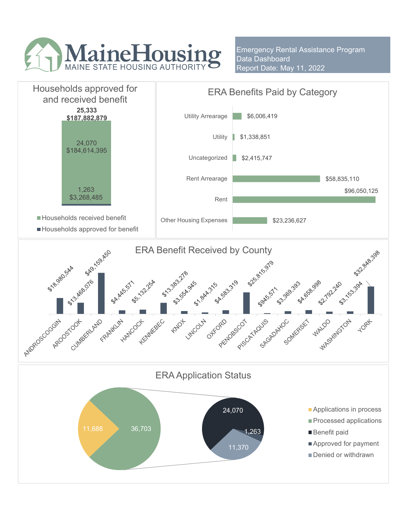